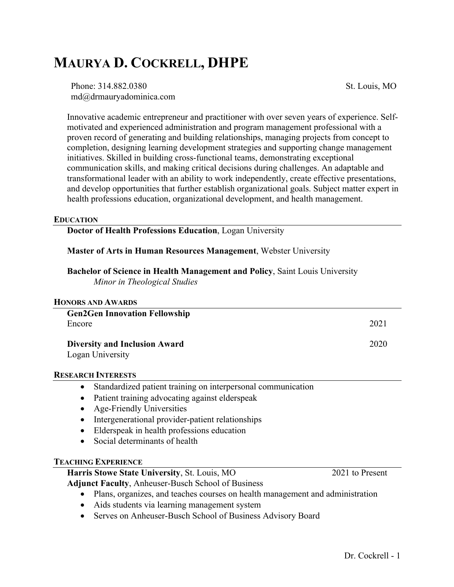# **MAURYA D. COCKRELL, DHPE**

Phone: 314.882.0380 md@drmauryadominica.com St. Louis, MO

Innovative academic entrepreneur and practitioner with over seven years of experience. Selfmotivated and experienced administration and program management professional with a proven record of generating and building relationships, managing projects from concept to completion, designing learning development strategies and supporting change management initiatives. Skilled in building cross-functional teams, demonstrating exceptional communication skills, and making critical decisions during challenges. An adaptable and transformational leader with an ability to work independently, create effective presentations, and develop opportunities that further establish organizational goals. Subject matter expert in health professions education, organizational development, and health management.

#### **EDUCATION**

**Doctor of Health Professions Education**, Logan University

## **Master of Arts in Human Resources Management**, Webster University

**Bachelor of Science in Health Management and Policy**, Saint Louis University *Minor in Theological Studies*

| <b>HONORS AND AWARDS</b>                                                  |                                                                                                                 |
|---------------------------------------------------------------------------|-----------------------------------------------------------------------------------------------------------------|
| <b>Gen2Gen Innovation Fellowship</b>                                      |                                                                                                                 |
| Encore                                                                    | 2021                                                                                                            |
| <b>Diversity and Inclusion Award</b>                                      | 2020                                                                                                            |
| Logan University                                                          |                                                                                                                 |
| <b>RESEARCH INTERESTS</b>                                                 |                                                                                                                 |
| Standardized patient training on interpersonal communication<br>$\bullet$ |                                                                                                                 |
| Patient training advocating against elderspeak<br>$\bullet$               |                                                                                                                 |
| <b>Age-Friendly Universities</b><br>$\bullet$                             |                                                                                                                 |
| Intergenerational provider-patient relationships                          |                                                                                                                 |
| Elderspeak in health professions education<br>$\bullet$                   |                                                                                                                 |
| Social determinants of health                                             |                                                                                                                 |
| <b>TEACHING EXPERIENCE</b>                                                |                                                                                                                 |
| Harris Stowe State University, St. Louis, MO                              | 2021 to Present                                                                                                 |
| <b>Adjunct Faculty, Anheuser-Busch School of Business</b>                 |                                                                                                                 |
|                                                                           | the contract of the contract of the contract of the contract of the contract of the contract of the contract of |

- Plans, organizes, and teaches courses on health management and administration
- Aids students via learning management system
- Serves on Anheuser-Busch School of Business Advisory Board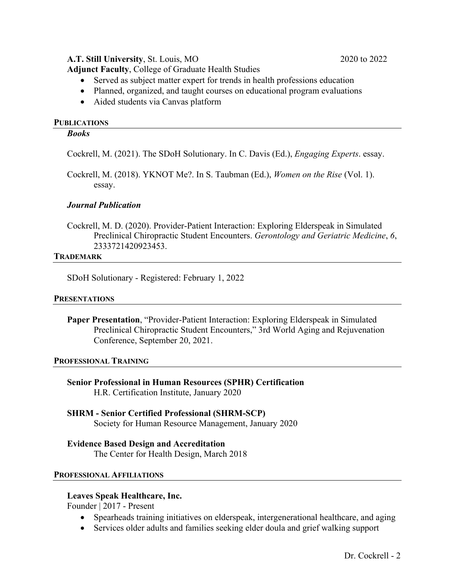# **A.T. Still University**, St. Louis, MO 2020 to 2022

**Adjunct Faculty**, College of Graduate Health Studies

- Served as subject matter expert for trends in health professions education
- Planned, organized, and taught courses on educational program evaluations
- Aided students via Canvas platform

## **PUBLICATIONS**

### *Books*

Cockrell, M. (2021). The SDoH Solutionary. In C. Davis (Ed.), *Engaging Experts*. essay.

Cockrell, M. (2018). YKNOT Me?. In S. Taubman (Ed.), *Women on the Rise* (Vol. 1). essay.

## *Journal Publication*

Cockrell, M. D. (2020). Provider-Patient Interaction: Exploring Elderspeak in Simulated Preclinical Chiropractic Student Encounters. *Gerontology and Geriatric Medicine*, *6*, 2333721420923453.

## **TRADEMARK**

SDoH Solutionary - Registered: February 1, 2022

#### **PRESENTATIONS**

**Paper Presentation**, "Provider-Patient Interaction: Exploring Elderspeak in Simulated Preclinical Chiropractic Student Encounters," 3rd World Aging and Rejuvenation Conference, September 20, 2021.

#### **PROFESSIONAL TRAINING**

- **Senior Professional in Human Resources (SPHR) Certification** H.R. Certification Institute, January 2020
- **SHRM - Senior Certified Professional (SHRM-SCP)** Society for Human Resource Management, January 2020

**Evidence Based Design and Accreditation** The Center for Health Design, March 2018

#### **PROFESSIONAL AFFILIATIONS**

## **Leaves Speak Healthcare, Inc.**

Founder | 2017 - Present

- Spearheads training initiatives on elderspeak, intergenerational healthcare, and aging
- Services older adults and families seeking elder doula and grief walking support